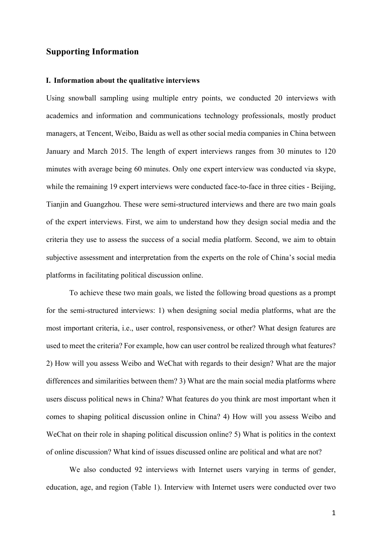## **Supporting Information**

#### **I. Information about the qualitative interviews**

Using snowball sampling using multiple entry points, we conducted 20 interviews with academics and information and communications technology professionals, mostly product managers, at Tencent, Weibo, Baidu as well as other social media companies in China between January and March 2015. The length of expert interviews ranges from 30 minutes to 120 minutes with average being 60 minutes. Only one expert interview was conducted via skype, while the remaining 19 expert interviews were conducted face-to-face in three cities - Beijing, Tianjin and Guangzhou. These were semi-structured interviews and there are two main goals of the expert interviews. First, we aim to understand how they design social media and the criteria they use to assess the success of a social media platform. Second, we aim to obtain subjective assessment and interpretation from the experts on the role of China's social media platforms in facilitating political discussion online.

To achieve these two main goals, we listed the following broad questions as a prompt for the semi-structured interviews: 1) when designing social media platforms, what are the most important criteria, i.e., user control, responsiveness, or other? What design features are used to meet the criteria? For example, how can user control be realized through what features? 2) How will you assess Weibo and WeChat with regards to their design? What are the major differences and similarities between them? 3) What are the main social media platforms where users discuss political news in China? What features do you think are most important when it comes to shaping political discussion online in China? 4) How will you assess Weibo and WeChat on their role in shaping political discussion online? 5) What is politics in the context of online discussion? What kind of issues discussed online are political and what are not?

We also conducted 92 interviews with Internet users varying in terms of gender, education, age, and region (Table 1). Interview with Internet users were conducted over two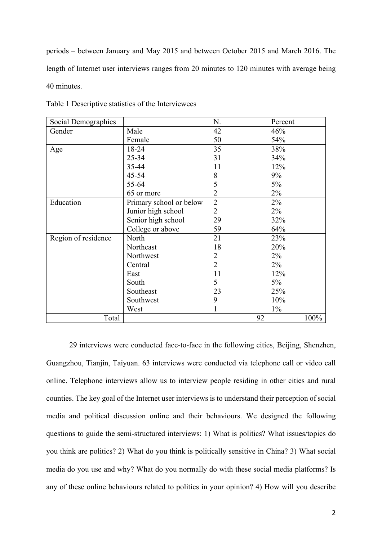periods – between January and May 2015 and between October 2015 and March 2016. The length of Internet user interviews ranges from 20 minutes to 120 minutes with average being 40 minutes.

| Social Demographics |                         | N.             | Percent |
|---------------------|-------------------------|----------------|---------|
| Gender              | Male                    | 42             | 46%     |
|                     | Female                  | 50             | 54%     |
| Age                 | 18-24                   | 35             | 38%     |
|                     | $25 - 34$               | 31             | 34%     |
|                     | 35-44                   | 11             | 12%     |
|                     | $45 - 54$               | 8              | 9%      |
|                     | 55-64                   | 5              | 5%      |
|                     | 65 or more              | $\overline{2}$ | 2%      |
| Education           | Primary school or below | $\overline{2}$ | 2%      |
|                     | Junior high school      | 2              | $2\%$   |
|                     | Senior high school      | 29             | 32%     |
|                     | College or above        | 59             | 64%     |
| Region of residence | North                   | 21             | 23%     |
|                     | Northeast               | 18             | 20%     |
|                     | Northwest               | $\overline{2}$ | $2\%$   |
|                     | Central                 | $\overline{2}$ | $2\%$   |
|                     | East                    | 11             | 12%     |
|                     | South                   | 5              | 5%      |
|                     | Southeast               | 23             | 25%     |
|                     | Southwest               | 9              | 10%     |
|                     | West                    | 1              | $1\%$   |
| Total               |                         | 92             | 100%    |

Table 1 Descriptive statistics of the Interviewees

29 interviews were conducted face-to-face in the following cities, Beijing, Shenzhen, Guangzhou, Tianjin, Taiyuan. 63 interviews were conducted via telephone call or video call online. Telephone interviews allow us to interview people residing in other cities and rural counties. The key goal of the Internet user interviews is to understand their perception of social media and political discussion online and their behaviours. We designed the following questions to guide the semi-structured interviews: 1) What is politics? What issues/topics do you think are politics? 2) What do you think is politically sensitive in China? 3) What social media do you use and why? What do you normally do with these social media platforms? Is any of these online behaviours related to politics in your opinion? 4) How will you describe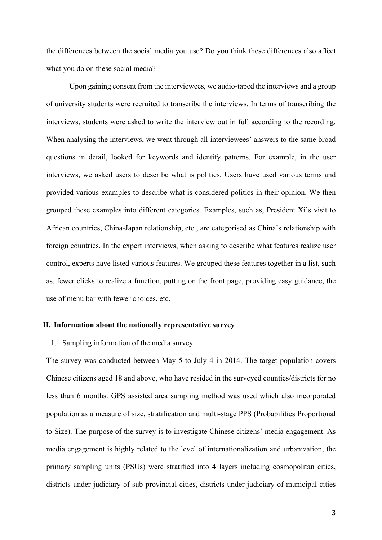the differences between the social media you use? Do you think these differences also affect what you do on these social media?

Upon gaining consent from the interviewees, we audio-taped the interviews and a group of university students were recruited to transcribe the interviews. In terms of transcribing the interviews, students were asked to write the interview out in full according to the recording. When analysing the interviews, we went through all interviewees' answers to the same broad questions in detail, looked for keywords and identify patterns. For example, in the user interviews, we asked users to describe what is politics. Users have used various terms and provided various examples to describe what is considered politics in their opinion. We then grouped these examples into different categories. Examples, such as, President Xi's visit to African countries, China-Japan relationship, etc., are categorised as China's relationship with foreign countries. In the expert interviews, when asking to describe what features realize user control, experts have listed various features. We grouped these features together in a list, such as, fewer clicks to realize a function, putting on the front page, providing easy guidance, the use of menu bar with fewer choices, etc.

#### **II. Information about the nationally representative survey**

#### 1. Sampling information of the media survey

The survey was conducted between May 5 to July 4 in 2014. The target population covers Chinese citizens aged 18 and above, who have resided in the surveyed counties/districts for no less than 6 months. GPS assisted area sampling method was used which also incorporated population as a measure of size, stratification and multi-stage PPS (Probabilities Proportional to Size). The purpose of the survey is to investigate Chinese citizens' media engagement. As media engagement is highly related to the level of internationalization and urbanization, the primary sampling units (PSUs) were stratified into 4 layers including cosmopolitan cities, districts under judiciary of sub-provincial cities, districts under judiciary of municipal cities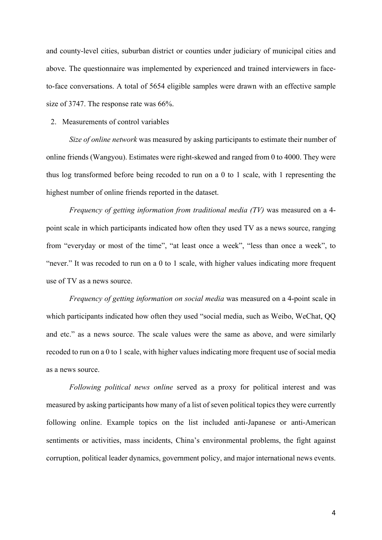and county-level cities, suburban district or counties under judiciary of municipal cities and above. The questionnaire was implemented by experienced and trained interviewers in faceto-face conversations. A total of 5654 eligible samples were drawn with an effective sample size of 3747. The response rate was 66%.

#### 2. Measurements of control variables

*Size of online network* was measured by asking participants to estimate their number of online friends (Wangyou). Estimates were right-skewed and ranged from 0 to 4000. They were thus log transformed before being recoded to run on a 0 to 1 scale, with 1 representing the highest number of online friends reported in the dataset.

*Frequency of getting information from traditional media (TV)* was measured on a 4 point scale in which participants indicated how often they used TV as a news source, ranging from "everyday or most of the time", "at least once a week", "less than once a week", to "never." It was recoded to run on a 0 to 1 scale, with higher values indicating more frequent use of TV as a news source.

*Frequency of getting information on social media* was measured on a 4-point scale in which participants indicated how often they used "social media, such as Weibo, WeChat, QQ and etc." as a news source. The scale values were the same as above, and were similarly recoded to run on a 0 to 1 scale, with higher values indicating more frequent use of social media as a news source.

*Following political news online* served as a proxy for political interest and was measured by asking participants how many of a list of seven political topics they were currently following online. Example topics on the list included anti-Japanese or anti-American sentiments or activities, mass incidents, China's environmental problems, the fight against corruption, political leader dynamics, government policy, and major international news events.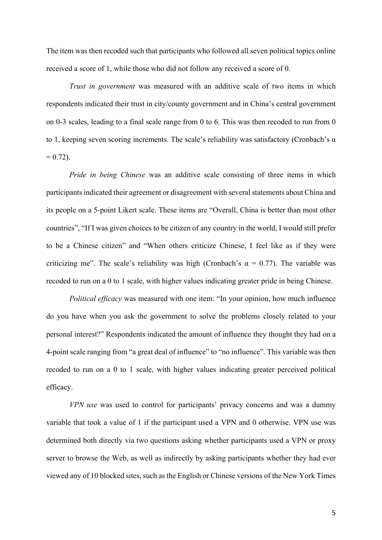The item was then recoded such that participants who followed all seven political topics online received a score of 1, while those who did not follow any received a score of 0.

*Trust in government* was measured with an additive scale of two items in which respondents indicated their trust in city/county government and in China's central government on 0-3 scales, leading to a final scale range from 0 to 6. This was then recoded to run from 0 to 1, keeping seven scoring increments. The scale's reliability was satisfactory (Cronbach's  $\alpha$ )  $= 0.72$ ).

*Pride in being Chinese* was an additive scale consisting of three items in which participants indicated their agreement or disagreement with several statements about China and its people on a 5-point Likert scale. These items are "Overall, China is better than most other countries", "If I was given choices to be citizen of any country in the world, I would still prefer to be a Chinese citizen" and "When others criticize Chinese, I feel like as if they were criticizing me". The scale's reliability was high (Cronbach's  $\alpha = 0.77$ ). The variable was recoded to run on a 0 to 1 scale, with higher values indicating greater pride in being Chinese.

*Political efficacy* was measured with one item: "In your opinion, how much influence do you have when you ask the government to solve the problems closely related to your personal interest?" Respondents indicated the amount of influence they thought they had on a 4-point scale ranging from "a great deal of influence" to "no influence". This variable was then recoded to run on a 0 to 1 scale, with higher values indicating greater perceived political efficacy.

*VPN use* was used to control for participants' privacy concerns and was a dummy variable that took a value of 1 if the participant used a VPN and 0 otherwise. VPN use was determined both directly via two questions asking whether participants used a VPN or proxy server to browse the Web, as well as indirectly by asking participants whether they had ever viewed any of 10 blocked sites, such as the English or Chinese versions of the New York Times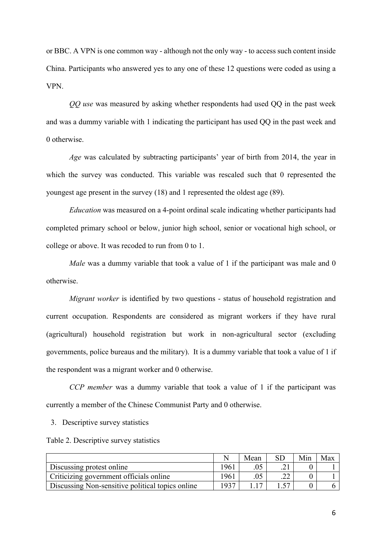or BBC. A VPN is one common way - although not the only way - to access such content inside China. Participants who answered yes to any one of these 12 questions were coded as using a VPN.

*QQ use* was measured by asking whether respondents had used QQ in the past week and was a dummy variable with 1 indicating the participant has used QQ in the past week and 0 otherwise.

*Age* was calculated by subtracting participants' year of birth from 2014, the year in which the survey was conducted. This variable was rescaled such that 0 represented the youngest age present in the survey (18) and 1 represented the oldest age (89).

*Education* was measured on a 4-point ordinal scale indicating whether participants had completed primary school or below, junior high school, senior or vocational high school, or college or above. It was recoded to run from 0 to 1.

*Male* was a dummy variable that took a value of 1 if the participant was male and 0 otherwise.

*Migrant worker* is identified by two questions - status of household registration and current occupation. Respondents are considered as migrant workers if they have rural (agricultural) household registration but work in non-agricultural sector (excluding governments, police bureaus and the military). It is a dummy variable that took a value of 1 if the respondent was a migrant worker and 0 otherwise.

*CCP member* was a dummy variable that took a value of 1 if the participant was currently a member of the Chinese Communist Party and 0 otherwise.

3. Descriptive survey statistics

Table 2. Descriptive survey statistics

|                                                  |      | Mean | <b>SD</b> | Min | Max |
|--------------------------------------------------|------|------|-----------|-----|-----|
| Discussing protest online                        | 1961 |      |           |     |     |
| Criticizing government officials online          | 1961 |      |           |     |     |
| Discussing Non-sensitive political topics online | 1937 |      |           |     |     |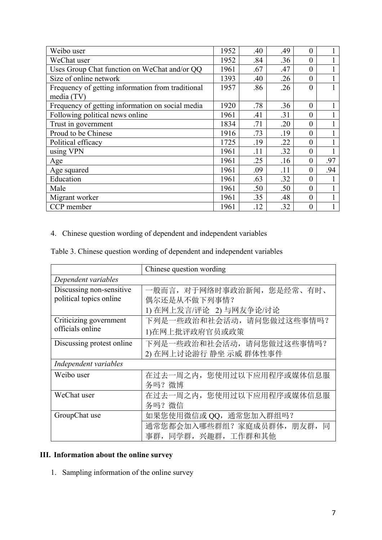| Weibo user                                        |      | .40 | .49 | $\theta$         |     |
|---------------------------------------------------|------|-----|-----|------------------|-----|
| WeChat user                                       |      | .84 | .36 | $\theta$         |     |
| Uses Group Chat function on WeChat and/or QQ      | 1961 | .67 | .47 | $\theta$         |     |
| Size of online network                            | 1393 | .40 | .26 | $\theta$         |     |
| Frequency of getting information from traditional |      | .86 | .26 | $\theta$         |     |
| media (TV)                                        |      |     |     |                  |     |
| Frequency of getting information on social media  | 1920 | .78 | .36 | $\boldsymbol{0}$ |     |
| Following political news online                   | 1961 | .41 | .31 | $\theta$         |     |
| Trust in government                               |      | .71 | .20 | $\theta$         |     |
| Proud to be Chinese                               | 1916 | .73 | .19 | $\theta$         |     |
| Political efficacy                                | 1725 | .19 | .22 | $\theta$         |     |
| using VPN                                         | 1961 | .11 | .32 | $\theta$         |     |
| Age                                               | 1961 | .25 | .16 | $\theta$         | .97 |
| Age squared                                       | 1961 | .09 | .11 | $\overline{0}$   | .94 |
| Education                                         | 1961 | .63 | .32 | $\theta$         |     |
| Male                                              | 1961 | .50 | .50 | $\Omega$         |     |
| Migrant worker                                    | 1961 | .35 | .48 | $\theta$         |     |
| CCP member                                        |      | .12 | .32 | $\overline{0}$   |     |

4. Chinese question wording of dependent and independent variables

Table 3. Chinese question wording of dependent and independent variables

|                           | Chinese question wording      |  |  |  |
|---------------------------|-------------------------------|--|--|--|
| Dependent variables       |                               |  |  |  |
| Discussing non-sensitive  | 一般而言,对于网络时事政治新闻,您是经常、有时、      |  |  |  |
| political topics online   | 偶尔还是从不做下列事情?                  |  |  |  |
|                           | 1) 在网上发言/评论 2) 与网友争论/讨论       |  |  |  |
| Criticizing government    | 下列是一些政治和社会活动, 请问您做过这些事情吗?     |  |  |  |
| officials online          | 1)在网上批评政府官员或政策                |  |  |  |
| Discussing protest online | 下列是一些政治和社会活动, 请问您做过这些事情吗?     |  |  |  |
|                           | 2) 在网上讨论游行 静坐 示威 群体性事件        |  |  |  |
| Independent variables     |                               |  |  |  |
| Weibo user                | 在过去一周之内,您使用过以下应用程序或媒体信息服      |  |  |  |
|                           | 务吗? 微博                        |  |  |  |
| WeChat user               | 在过去一周之内, 您使用过以下应用程序或媒体信息服     |  |  |  |
|                           | 务吗? 微信                        |  |  |  |
| GroupChat use             | 如果您使用微信或 QQ, 通常您加入群组吗?        |  |  |  |
|                           | 通常您都会加入哪些群组?家庭成员群体, 朋友群,<br>同 |  |  |  |
|                           | 事群, 同学群, 兴趣群, 工作群和其他          |  |  |  |

# **III. Information about the online survey**

1. Sampling information of the online survey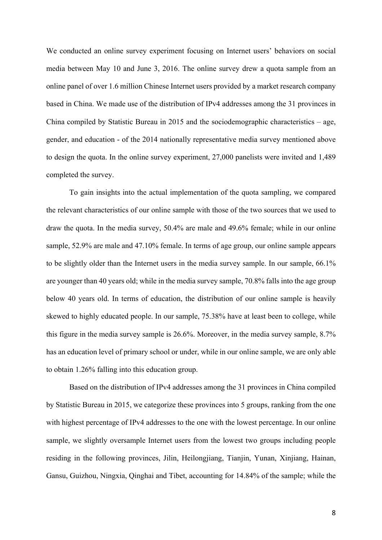We conducted an online survey experiment focusing on Internet users' behaviors on social media between May 10 and June 3, 2016. The online survey drew a quota sample from an online panel of over 1.6 million Chinese Internet users provided by a market research company based in China. We made use of the distribution of IPv4 addresses among the 31 provinces in China compiled by Statistic Bureau in 2015 and the sociodemographic characteristics – age, gender, and education - of the 2014 nationally representative media survey mentioned above to design the quota. In the online survey experiment, 27,000 panelists were invited and 1,489 completed the survey.

To gain insights into the actual implementation of the quota sampling, we compared the relevant characteristics of our online sample with those of the two sources that we used to draw the quota. In the media survey, 50.4% are male and 49.6% female; while in our online sample, 52.9% are male and 47.10% female. In terms of age group, our online sample appears to be slightly older than the Internet users in the media survey sample. In our sample, 66.1% are younger than 40 years old; while in the media survey sample, 70.8% falls into the age group below 40 years old. In terms of education, the distribution of our online sample is heavily skewed to highly educated people. In our sample, 75.38% have at least been to college, while this figure in the media survey sample is 26.6%. Moreover, in the media survey sample, 8.7% has an education level of primary school or under, while in our online sample, we are only able to obtain 1.26% falling into this education group.

Based on the distribution of IPv4 addresses among the 31 provinces in China compiled by Statistic Bureau in 2015, we categorize these provinces into 5 groups, ranking from the one with highest percentage of IPv4 addresses to the one with the lowest percentage. In our online sample, we slightly oversample Internet users from the lowest two groups including people residing in the following provinces, Jilin, Heilongjiang, Tianjin, Yunan, Xinjiang, Hainan, Gansu, Guizhou, Ningxia, Qinghai and Tibet, accounting for 14.84% of the sample; while the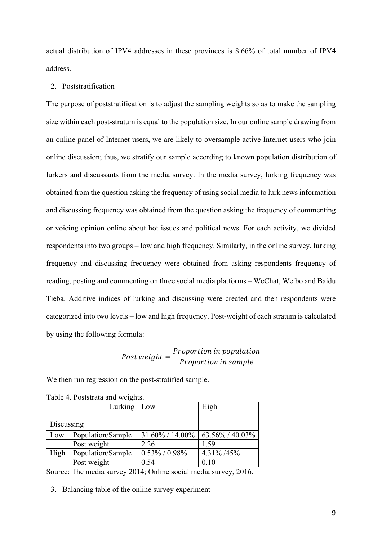actual distribution of IPV4 addresses in these provinces is 8.66% of total number of IPV4 address.

#### 2. Poststratification

The purpose of poststratification is to adjust the sampling weights so as to make the sampling size within each post-stratum is equal to the population size. In our online sample drawing from an online panel of Internet users, we are likely to oversample active Internet users who join online discussion; thus, we stratify our sample according to known population distribution of lurkers and discussants from the media survey. In the media survey, lurking frequency was obtained from the question asking the frequency of using social media to lurk news information and discussing frequency was obtained from the question asking the frequency of commenting or voicing opinion online about hot issues and political news. For each activity, we divided respondents into two groups – low and high frequency. Similarly, in the online survey, lurking frequency and discussing frequency were obtained from asking respondents frequency of reading, posting and commenting on three social media platforms – WeChat, Weibo and Baidu Tieba. Additive indices of lurking and discussing were created and then respondents were categorized into two levels – low and high frequency. Post-weight of each stratum is calculated by using the following formula:

$$
Post\ weight = \frac{Proportion\ in\ population}{Proportion\ in\ sample}
$$

We then run regression on the post-stratified sample.

| Lurking   Low |                   |                                       | High       |
|---------------|-------------------|---------------------------------------|------------|
|               |                   |                                       |            |
| Discussing    |                   |                                       |            |
| Low           | Population/Sample | $31.60\% / 14.00\%$   63.56% / 40.03% |            |
|               | Post weight       | 2.26                                  | 1.59       |
| High          | Population/Sample | $0.53\% / 0.98\%$                     | 4.31% /45% |
|               | Post weight       | 0.54                                  | 0.10       |

Table 4. Poststrata and weights.

Source: The media survey 2014; Online social media survey, 2016.

3. Balancing table of the online survey experiment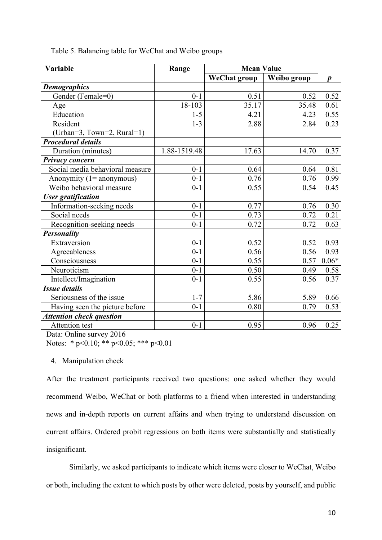| Variable                        | Range        | <b>Mean Value</b>   |             |                  |
|---------------------------------|--------------|---------------------|-------------|------------------|
|                                 |              | <b>WeChat group</b> | Weibo group | $\boldsymbol{p}$ |
| <b>Demographics</b>             |              |                     |             |                  |
| Gender (Female=0)               | $0 - 1$      | 0.51                | 0.52        | 0.52             |
| Age                             | 18-103       | 35.17               | 35.48       | 0.61             |
| Education                       | $1 - 5$      | 4.21                | 4.23        | 0.55             |
| Resident                        | $1 - 3$      | 2.88                | 2.84        | 0.23             |
| (Urban=3, Town=2, Rural=1)      |              |                     |             |                  |
| <b>Procedural details</b>       |              |                     |             |                  |
| Duration (minutes)              | 1.88-1519.48 | 17.63               | 14.70       | 0.37             |
| Privacy concern                 |              |                     |             |                  |
| Social media behavioral measure | $0 - 1$      | 0.64                | 0.64        | 0.81             |
| Anonymity $(1 =$ anonymous)     | $0 - 1$      | 0.76                | 0.76        | 0.99             |
| Weibo behavioral measure        | $0 - 1$      | 0.55                | 0.54        | 0.45             |
| <b>User</b> gratification       |              |                     |             |                  |
| Information-seeking needs       | $0 - 1$      | 0.77                | 0.76        | 0.30             |
| Social needs                    | $0 - 1$      | 0.73                | 0.72        | 0.21             |
| Recognition-seeking needs       | $0 - 1$      | 0.72                | 0.72        | 0.63             |
| <b>Personality</b>              |              |                     |             |                  |
| Extraversion                    | $0 - 1$      | 0.52                | 0.52        | 0.93             |
| Agreeableness                   | $0 - 1$      | 0.56                | 0.56        | 0.93             |
| Consciousness                   | $0 - 1$      | 0.55                | 0.57        | $0.06*$          |
| Neuroticism                     | $0 - 1$      | 0.50                | 0.49        | 0.58             |
| Intellect/Imagination           | $0 - 1$      | 0.55                | 0.56        | 0.37             |
| <b>Issue details</b>            |              |                     |             |                  |
| Seriousness of the issue        | $1 - 7$      | 5.86                | 5.89        | 0.66             |
| Having seen the picture before  | $0 - 1$      | 0.80                | 0.79        | 0.53             |
| <b>Attention check question</b> |              |                     |             |                  |
| <b>Attention</b> test           | $0 - 1$      | 0.95                | 0.96        | 0.25             |

Table 5. Balancing table for WeChat and Weibo groups

Data: Online survey 2016 Notes: \* p<0.10; \*\* p<0.05; \*\*\* p<0.01

### 4. Manipulation check

After the treatment participants received two questions: one asked whether they would recommend Weibo, WeChat or both platforms to a friend when interested in understanding news and in-depth reports on current affairs and when trying to understand discussion on current affairs. Ordered probit regressions on both items were substantially and statistically insignificant.

Similarly, we asked participants to indicate which items were closer to WeChat, Weibo or both, including the extent to which posts by other were deleted, posts by yourself, and public